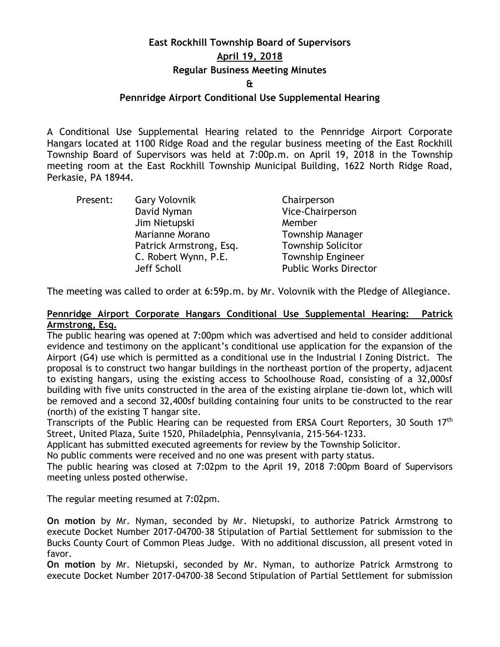# **East Rockhill Township Board of Supervisors April 19, 2018 Regular Business Meeting Minutes**

**&**

### **Pennridge Airport Conditional Use Supplemental Hearing**

A Conditional Use Supplemental Hearing related to the Pennridge Airport Corporate Hangars located at 1100 Ridge Road and the regular business meeting of the East Rockhill Township Board of Supervisors was held at 7:00p.m. on April 19, 2018 in the Township meeting room at the East Rockhill Township Municipal Building, 1622 North Ridge Road, Perkasie, PA 18944.

| <b>Gary Volovnik</b>    | Chairperson                  |
|-------------------------|------------------------------|
| David Nyman             | Vice-Chairperson             |
| Jim Nietupski           | Member                       |
| Marianne Morano         | <b>Township Manager</b>      |
| Patrick Armstrong, Esq. | <b>Township Solicitor</b>    |
| C. Robert Wynn, P.E.    | <b>Township Engineer</b>     |
| Jeff Scholl             | <b>Public Works Director</b> |
|                         |                              |

The meeting was called to order at 6:59p.m. by Mr. Volovnik with the Pledge of Allegiance.

#### **Pennridge Airport Corporate Hangars Conditional Use Supplemental Hearing: Patrick Armstrong, Esq.**

The public hearing was opened at 7:00pm which was advertised and held to consider additional evidence and testimony on the applicant's conditional use application for the expansion of the Airport (G4) use which is permitted as a conditional use in the Industrial I Zoning District. The proposal is to construct two hangar buildings in the northeast portion of the property, adjacent to existing hangars, using the existing access to Schoolhouse Road, consisting of a 32,000sf building with five units constructed in the area of the existing airplane tie-down lot, which will be removed and a second 32,400sf building containing four units to be constructed to the rear (north) of the existing T hangar site.

Transcripts of the Public Hearing can be requested from ERSA Court Reporters, 30 South 17<sup>th</sup> Street, United Plaza, Suite 1520, Philadelphia, Pennsylvania, 215-564-1233.

Applicant has submitted executed agreements for review by the Township Solicitor.

No public comments were received and no one was present with party status.

The public hearing was closed at 7:02pm to the April 19, 2018 7:00pm Board of Supervisors meeting unless posted otherwise.

The regular meeting resumed at 7:02pm.

**On motion** by Mr. Nyman, seconded by Mr. Nietupski, to authorize Patrick Armstrong to execute Docket Number 2017-04700-38 Stipulation of Partial Settlement for submission to the Bucks County Court of Common Pleas Judge. With no additional discussion, all present voted in favor.

**On motion** by Mr. Nietupski, seconded by Mr. Nyman, to authorize Patrick Armstrong to execute Docket Number 2017-04700-38 Second Stipulation of Partial Settlement for submission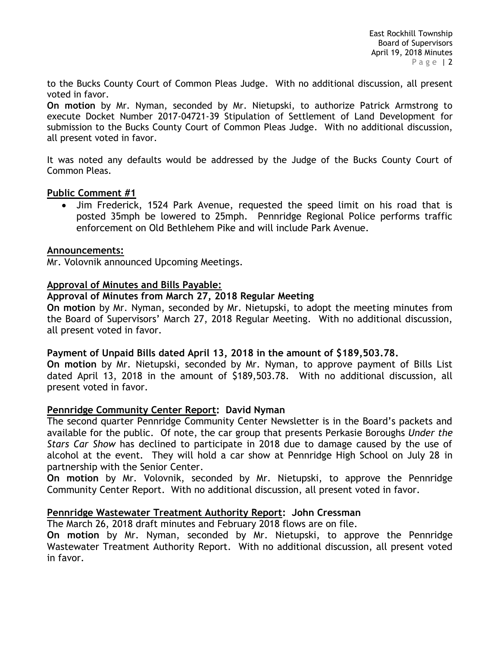to the Bucks County Court of Common Pleas Judge. With no additional discussion, all present voted in favor.

**On motion** by Mr. Nyman, seconded by Mr. Nietupski, to authorize Patrick Armstrong to execute Docket Number 2017-04721-39 Stipulation of Settlement of Land Development for submission to the Bucks County Court of Common Pleas Judge. With no additional discussion, all present voted in favor.

It was noted any defaults would be addressed by the Judge of the Bucks County Court of Common Pleas.

#### **Public Comment #1**

 Jim Frederick, 1524 Park Avenue, requested the speed limit on his road that is posted 35mph be lowered to 25mph. Pennridge Regional Police performs traffic enforcement on Old Bethlehem Pike and will include Park Avenue.

#### **Announcements:**

Mr. Volovnik announced Upcoming Meetings.

#### **Approval of Minutes and Bills Payable:**

#### **Approval of Minutes from March 27, 2018 Regular Meeting**

**On motion** by Mr. Nyman, seconded by Mr. Nietupski, to adopt the meeting minutes from the Board of Supervisors' March 27, 2018 Regular Meeting. With no additional discussion, all present voted in favor.

#### **Payment of Unpaid Bills dated April 13, 2018 in the amount of \$189,503.78.**

**On motion** by Mr. Nietupski, seconded by Mr. Nyman, to approve payment of Bills List dated April 13, 2018 in the amount of \$189,503.78. With no additional discussion, all present voted in favor.

#### **Pennridge Community Center Report: David Nyman**

The second quarter Pennridge Community Center Newsletter is in the Board's packets and available for the public. Of note, the car group that presents Perkasie Boroughs *Under the Stars Car Show* has declined to participate in 2018 due to damage caused by the use of alcohol at the event. They will hold a car show at Pennridge High School on July 28 in partnership with the Senior Center.

**On motion** by Mr. Volovnik, seconded by Mr. Nietupski, to approve the Pennridge Community Center Report. With no additional discussion, all present voted in favor.

# **Pennridge Wastewater Treatment Authority Report: John Cressman**

The March 26, 2018 draft minutes and February 2018 flows are on file.

**On motion** by Mr. Nyman, seconded by Mr. Nietupski, to approve the Pennridge Wastewater Treatment Authority Report. With no additional discussion, all present voted in favor.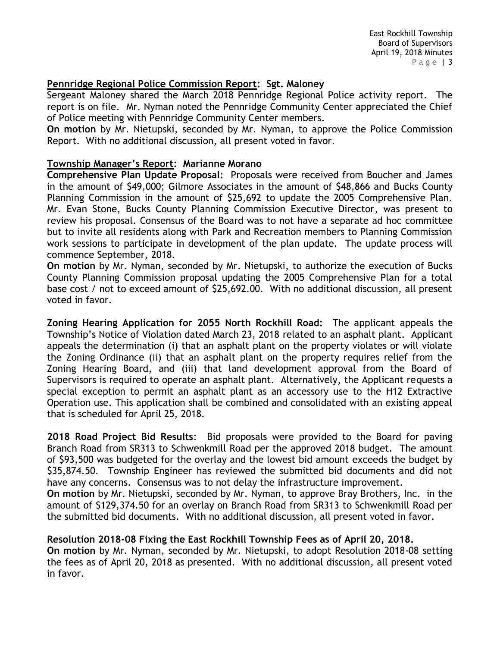# **Pennridge Regional Police Commission Report: Sgt. Maloney**

Sergeant Maloney shared the March 2018 Pennridge Regional Police activity report. The report is on file. Mr. Nyman noted the Pennridge Community Center appreciated the Chief of Police meeting with Pennridge Community Center members.

**On motion** by Mr. Nietupski, seconded by Mr. Nyman, to approve the Police Commission Report. With no additional discussion, all present voted in favor.

# **Township Manager's Report: Marianne Morano**

**Comprehensive Plan Update Proposal:** Proposals were received from Boucher and James in the amount of \$49,000; Gilmore Associates in the amount of \$48,866 and Bucks County Planning Commission in the amount of \$25,692 to update the 2005 Comprehensive Plan. Mr. Evan Stone, Bucks County Planning Commission Executive Director, was present to review his proposal. Consensus of the Board was to not have a separate ad hoc committee but to invite all residents along with Park and Recreation members to Planning Commission work sessions to participate in development of the plan update. The update process will commence September, 2018.

**On motion** by Mr. Nyman, seconded by Mr. Nietupski, to authorize the execution of Bucks County Planning Commission proposal updating the 2005 Comprehensive Plan for a total base cost / not to exceed amount of \$25,692.00. With no additional discussion, all present voted in favor.

**Zoning Hearing Application for 2055 North Rockhill Road:** The applicant appeals the Township's Notice of Violation dated March 23, 2018 related to an asphalt plant. Applicant appeals the determination (i) that an asphalt plant on the property violates or will violate the Zoning Ordinance (ii) that an asphalt plant on the property requires relief from the Zoning Hearing Board, and (iii) that land development approval from the Board of Supervisors is required to operate an asphalt plant. Alternatively, the Applicant requests a special exception to permit an asphalt plant as an accessory use to the H12 Extractive Operation use. This application shall be combined and consolidated with an existing appeal that is scheduled for April 25, 2018.

**2018 Road Project Bid Results**: Bid proposals were provided to the Board for paving Branch Road from SR313 to Schwenkmill Road per the approved 2018 budget. The amount of \$93,500 was budgeted for the overlay and the lowest bid amount exceeds the budget by \$35,874.50. Township Engineer has reviewed the submitted bid documents and did not have any concerns. Consensus was to not delay the infrastructure improvement.

**On motion** by Mr. Nietupski, seconded by Mr. Nyman, to approve Bray Brothers, Inc. in the amount of \$129,374.50 for an overlay on Branch Road from SR313 to Schwenkmill Road per the submitted bid documents. With no additional discussion, all present voted in favor.

**Resolution 2018-08 Fixing the East Rockhill Township Fees as of April 20, 2018. On motion** by Mr. Nyman, seconded by Mr. Nietupski, to adopt Resolution 2018-08 setting the fees as of April 20, 2018 as presented. With no additional discussion, all present voted in favor.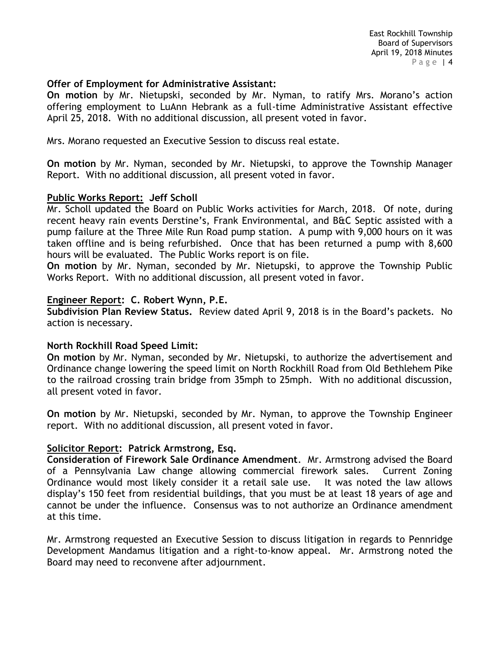East Rockhill Township Board of Supervisors April 19, 2018 Minutes Page | 4

#### **Offer of Employment for Administrative Assistant:**

**On motion** by Mr. Nietupski, seconded by Mr. Nyman, to ratify Mrs. Morano's action offering employment to LuAnn Hebrank as a full-time Administrative Assistant effective April 25, 2018. With no additional discussion, all present voted in favor.

Mrs. Morano requested an Executive Session to discuss real estate.

**On motion** by Mr. Nyman, seconded by Mr. Nietupski, to approve the Township Manager Report. With no additional discussion, all present voted in favor.

#### **Public Works Report: Jeff Scholl**

Mr. Scholl updated the Board on Public Works activities for March, 2018. Of note, during recent heavy rain events Derstine's, Frank Environmental, and B&C Septic assisted with a pump failure at the Three Mile Run Road pump station. A pump with 9,000 hours on it was taken offline and is being refurbished. Once that has been returned a pump with 8,600 hours will be evaluated. The Public Works report is on file.

**On motion** by Mr. Nyman, seconded by Mr. Nietupski, to approve the Township Public Works Report. With no additional discussion, all present voted in favor.

#### **Engineer Report: C. Robert Wynn, P.E.**

**Subdivision Plan Review Status.** Review dated April 9, 2018 is in the Board's packets. No action is necessary.

#### **North Rockhill Road Speed Limit:**

**On motion** by Mr. Nyman, seconded by Mr. Nietupski, to authorize the advertisement and Ordinance change lowering the speed limit on North Rockhill Road from Old Bethlehem Pike to the railroad crossing train bridge from 35mph to 25mph. With no additional discussion, all present voted in favor.

**On motion** by Mr. Nietupski, seconded by Mr. Nyman, to approve the Township Engineer report. With no additional discussion, all present voted in favor.

#### **Solicitor Report: Patrick Armstrong, Esq.**

**Consideration of Firework Sale Ordinance Amendment**. Mr. Armstrong advised the Board of a Pennsylvania Law change allowing commercial firework sales. Current Zoning Ordinance would most likely consider it a retail sale use. It was noted the law allows display's 150 feet from residential buildings, that you must be at least 18 years of age and cannot be under the influence. Consensus was to not authorize an Ordinance amendment at this time.

Mr. Armstrong requested an Executive Session to discuss litigation in regards to Pennridge Development Mandamus litigation and a right-to-know appeal. Mr. Armstrong noted the Board may need to reconvene after adjournment.